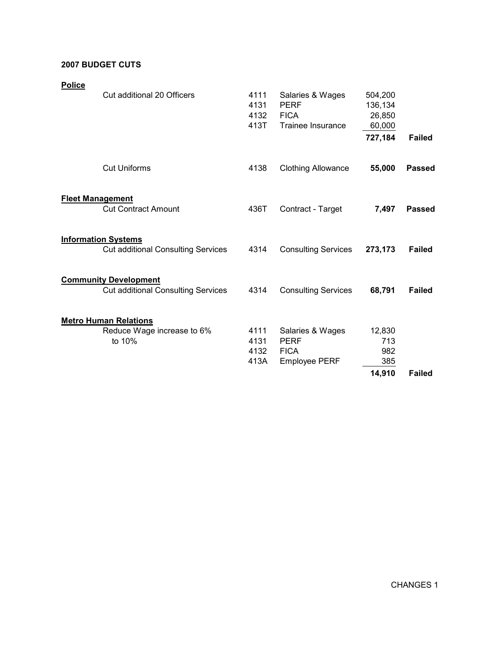## 2007 BUDGET CUTS

| <b>Police</b> | Cut additional 20 Officers                                                | 4111<br>4131<br>4132<br>413T | Salaries & Wages<br><b>PERF</b><br><b>FICA</b><br>Trainee Insurance    | 504,200<br>136,134<br>26,850<br>60,000<br>727,184 | <b>Failed</b> |
|---------------|---------------------------------------------------------------------------|------------------------------|------------------------------------------------------------------------|---------------------------------------------------|---------------|
|               | <b>Cut Uniforms</b>                                                       | 4138                         | <b>Clothing Allowance</b>                                              | 55,000                                            | <b>Passed</b> |
|               | <b>Fleet Management</b><br><b>Cut Contract Amount</b>                     | 436T                         | Contract - Target                                                      | 7,497                                             | <b>Passed</b> |
|               | <b>Information Systems</b><br><b>Cut additional Consulting Services</b>   | 4314                         | <b>Consulting Services</b>                                             | 273,173                                           | <b>Failed</b> |
|               | <b>Community Development</b><br><b>Cut additional Consulting Services</b> | 4314                         | <b>Consulting Services</b>                                             | 68,791                                            | <b>Failed</b> |
|               | <b>Metro Human Relations</b><br>Reduce Wage increase to 6%<br>to 10%      | 4111<br>4131<br>4132<br>413A | Salaries & Wages<br><b>PERF</b><br><b>FICA</b><br><b>Employee PERF</b> | 12,830<br>713<br>982<br>385<br>14,910             | <b>Failed</b> |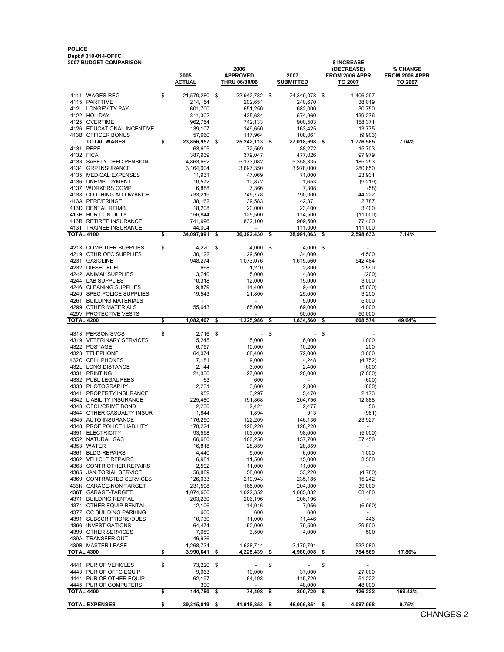## POLICE Dept # 010-014-OFFC

| 2007 BUDGET COMPARISON<br>\$ INCREASE |                                          |    |                       |      |                                  |     |                          |      |                                     |                                  |
|---------------------------------------|------------------------------------------|----|-----------------------|------|----------------------------------|-----|--------------------------|------|-------------------------------------|----------------------------------|
|                                       |                                          |    |                       |      | 2006                             |     |                          |      | (DECREASE)<br><b>FROM 2006 APPR</b> | <b>% CHANGE</b>                  |
|                                       |                                          |    | 2005<br><b>ACTUAL</b> |      | <b>APPROVED</b><br>THRU 06/30/06 |     | 2007<br><b>SUBMITTED</b> |      | TO 2007                             | FROM 2006 APPR<br><u>TO 2007</u> |
|                                       |                                          |    |                       |      |                                  |     |                          |      |                                     |                                  |
|                                       | 4111 WAGES-REG                           | \$ | 21,570,280            | \$   | 22,942,782 \$                    |     | 24,349,078               | \$   | 1,406,297                           |                                  |
|                                       | 4115 PARTTIME                            |    | 214,154               |      | 202,651                          |     | 240,670                  |      | 38,019                              |                                  |
|                                       | 412L LONGEVITY PAY                       |    | 601,700               |      | 651,250                          |     | 682,000                  |      | 30,750                              |                                  |
|                                       | 4122 HOLIDAY                             |    | 311,302               |      | 435,684                          |     | 574,960                  |      | 139,276                             |                                  |
|                                       | 4125 OVERTIME                            |    | 962,754               |      | 742,133                          |     | 900,503                  |      | 158,371                             |                                  |
|                                       | 4126 EDUCATIONAL INCENTIVE               |    | 139,107               |      | 149,650                          |     | 163,425                  |      | 13,775                              |                                  |
|                                       | 413B OFFICER BONUS                       |    | 57,660                |      | 117,964                          |     | 108,061                  |      | (9,903)                             |                                  |
|                                       | <b>TOTAL WAGES</b>                       | \$ | 23,856,957            | \$   | 25,242,113 \$                    |     | 27,018,698               | - \$ | 1,776,585                           | 7.04%                            |
|                                       | 4131 PERF                                |    | 63,605                |      | 72,569                           |     | 88,272                   |      | 15,703                              |                                  |
| 4132 FICA                             |                                          |    | 387,939               |      | 379,047                          |     | 477,026                  |      | 97,979                              |                                  |
|                                       | 4133 SAFETY OFFC PENSION                 |    | 4,863,662             |      | 5,173,082                        |     | 5,358,335                |      | 185,253                             |                                  |
|                                       | 4134 GRP INSURANCE                       |    | 3,164,004             |      | 3,697,350                        |     | 3,978,000                |      | 280,650                             |                                  |
|                                       | 4135 MEDICAL EXPENSES                    |    | 11,931                |      | 47,069                           |     | 71,000                   |      | 23,931                              |                                  |
|                                       | 4136 UNEMPLOYMENT                        |    | 10,572                |      | 10,872                           |     | 1,653                    |      | (9, 219)                            |                                  |
|                                       | 4137 WORKERS COMP                        |    | 6,888                 |      | 7,366                            |     | 7,308                    |      | (58)                                |                                  |
|                                       | 4138 CLOTHING ALLOWANCE                  |    | 733,219               |      | 745,778                          |     | 790,000                  |      | 44,222                              |                                  |
|                                       | 413A PERF/FRINGE                         |    | 38,162                |      | 39,583                           |     | 42,371                   |      | 2,787                               |                                  |
|                                       | 413D DENTAL REIMB                        |    | 18,208                |      | 20,000                           |     | 23,400                   |      | 3,400                               |                                  |
|                                       | 413H HURT ON DUTY                        |    | 156,844               |      | 125,500                          |     | 114,500                  |      | (11,000)                            |                                  |
|                                       | 413R RETIREE INSURANCE                   |    | 741,996               |      | 832,100                          |     | 909,500                  |      | 77,400                              |                                  |
| <b>TOTAL 4100</b>                     | 413T TRAINEE INSURANCE                   | \$ | 44,004                |      | 36,392,430                       |     | 111,000                  |      | 111,000                             |                                  |
|                                       |                                          |    | 34,097,991            | \$   |                                  | \$  | 38,991,063               | \$   | 2,598,633                           | 7.14%                            |
|                                       | 4213 COMPUTER SUPPLIES                   | \$ | 4,220                 | \$   | 4,000                            | -\$ | 4,000                    | -\$  |                                     |                                  |
|                                       | 4219 OTHR OFC SUPPLIES                   |    | 30,122                |      | 29,500                           |     | 34,000                   |      | 4,500                               |                                  |
|                                       | 4231 GASOLINE                            |    | 948,274               |      | 1,073,076                        |     | 1,615,560                |      | 542,484                             |                                  |
|                                       | 4232 DIESEL FUEL                         |    | 668                   |      | 1,210                            |     | 2,800                    |      | 1,590                               |                                  |
|                                       | 4242 ANIMAL SUPPLIES                     |    | 3,740                 |      | 5,000                            |     | 4,800                    |      | (200)                               |                                  |
|                                       | 4244 LAB SUPPLIES                        |    | 10,318                |      | 12,000                           |     | 15,000                   |      | 3,000                               |                                  |
|                                       | 4246 CLEANING SUPPLIES                   |    | 9,879                 |      | 14,400                           |     | 9,400                    |      | (5,000)                             |                                  |
|                                       | 4249 SPEC POLICE SUPPLIES                |    | 19,543                |      | 21,800                           |     | 25,000                   |      | 3,200                               |                                  |
| 4261                                  | <b>BUILDING MATERIALS</b>                |    | $\blacksquare$        |      | $\overline{\phantom{a}}$         |     | 5,000                    |      | 5,000                               |                                  |
|                                       | 4299 OTHER MATERIALS                     |    | 55,643                |      | 65,000                           |     | 69,000                   |      | 4,000                               |                                  |
|                                       | 429V PROTECTIVE VESTS                    |    |                       |      |                                  |     | 50,000                   |      | 50,000                              |                                  |
| TOTAL 4200                            |                                          | \$ | 1,082,407             | \$   | 1,225,986                        | \$  | 1,834,560                | \$   | 608,574                             | 49.64%                           |
|                                       |                                          |    |                       |      |                                  |     |                          |      |                                     |                                  |
|                                       | 4313 PERSON SVCS                         | \$ | 2,716                 | - \$ | $\overline{\phantom{a}}$         | \$  | $\overline{\phantom{a}}$ | \$   |                                     |                                  |
|                                       | 4319 VETERINARY SERVICES                 |    | 5,245                 |      | 5,000                            |     | 6,000                    |      | 1,000                               |                                  |
|                                       | 4322 POSTAGE                             |    | 6,757                 |      | 10,000                           |     | 10,200                   |      | 200                                 |                                  |
|                                       | 4323 TELEPHONE                           |    | 64,074                |      | 68,400                           |     | 72,000                   |      | 3,600                               |                                  |
|                                       | 432C CELL PHONES                         |    | 7,181                 |      | 9,000                            |     | 4,248                    |      | (4, 752)                            |                                  |
|                                       | 432L LONG DISTANCE                       |    | 2,144                 |      | 3,000                            |     | 2,400                    |      | (600)                               |                                  |
|                                       | 4331 PRINTING                            |    | 21,336                |      | 27,000                           |     | 20,000<br>$\blacksquare$ |      | (7,000)                             |                                  |
|                                       | 4332 PUBL LEGAL FEES<br>4333 PHOTOGRAPHY |    | 63                    |      | 600                              |     |                          |      | (600)                               |                                  |
|                                       | 4341 PROPERTY INSURANCE                  |    | 2,231                 |      | 3,600                            |     | 2,800                    |      | (800)                               |                                  |
|                                       | 4342 LIABILITY INSURANCE                 |    | 952                   |      | 3,297                            |     | 5,470                    |      | 2,173<br>12,888                     |                                  |
|                                       | 4343 OFCL/CRIME BOND                     |    | 225,480<br>2,230      |      | 191,868                          |     | 204,756<br>2,477         |      | 56                                  |                                  |
|                                       | 4344 OTHER CASUALTY INSUR                |    | 1,844                 |      | 2,421                            |     | 913                      |      | (981)                               |                                  |
|                                       | 4345 AUTO INSURANCE                      |    | 176,250               |      | 1,894<br>122,209                 |     |                          |      | 23,927                              |                                  |
|                                       | 4348 PROF POLICE LIABILITY               |    | 178,224               |      | 128,220                          |     | 146,136<br>128,220       |      | $\overline{\phantom{a}}$            |                                  |
|                                       | 4351 ELECTRICITY                         |    |                       |      | 103,000                          |     | 98,000                   |      | (5,000)                             |                                  |
|                                       | 4352 NATURAL GAS                         |    | 93,558<br>66,680      |      | 100,250                          |     | 157,700                  |      | 57,450                              |                                  |
|                                       | 4353 WATER                               |    | 16,818                |      | 28,859                           |     | 28,859                   |      | $\overline{\phantom{a}}$            |                                  |
|                                       | 4361 BLDG REPAIRS                        |    | 4,440                 |      | 5,000                            |     | 6,000                    |      | 1,000                               |                                  |
|                                       | 4362 VEHICLE REPAIRS                     |    | 6,981                 |      | 11,500                           |     | 15,000                   |      | 3,500                               |                                  |
|                                       | 4363 CONTR OTHER REPAIRS                 |    | 2,502                 |      | 11,000                           |     | 11,000                   |      | $\blacksquare$                      |                                  |
|                                       | 4365 JANITORIAL SERVICE                  |    | 56,889                |      | 58,000                           |     | 53,220                   |      | (4,780)                             |                                  |
|                                       | 4369 CONTRACTED SERVICES                 |    | 126,033               |      | 219,943                          |     | 235,185                  |      | 15,242                              |                                  |
|                                       | 436N GARAGE-NON TARGET                   |    | 231,508               |      | 165,000                          |     | 204,000                  |      | 39,000                              |                                  |
|                                       | 436T GARAGE-TARGET                       |    | 1,074,606             |      | 1,022,352                        |     | 1,085,832                |      | 63,480                              |                                  |
|                                       | 4371 BUILDING RENTAL                     |    | 203,230               |      | 206,196                          |     | 206,196                  |      |                                     |                                  |
|                                       | 4374 OTHER EQUIP RENTAL                  |    | 12,106                |      | 14,016                           |     | 7,056                    |      | (6,960)                             |                                  |
|                                       | 4377 CC BUILDING PARKING                 |    | 600                   |      | 600                              |     | 600                      |      |                                     |                                  |
|                                       | 4391 SUBSCRIPTIONS/DUES                  |    | 10,730                |      | 11,000                           |     | 11,446                   |      | 446                                 |                                  |
|                                       | 4396 INVESTIGATIONS                      |    | 64,474                |      | 50,000                           |     | 79,500                   |      | 29,500                              |                                  |
|                                       | 4399 OTHER SERVICES                      |    | 7,089                 |      | 3,500                            |     | 4,000                    |      | 500                                 |                                  |
|                                       | 439A TRANSFER OUT                        |    | 46,936                |      |                                  |     |                          |      |                                     |                                  |
|                                       | 439B MASTER LEASE                        |    | 1,268,734             |      | 1,638,714                        |     | 2,170,794                |      | 532,080                             |                                  |
| TOTAL 4300                            |                                          | \$ | 3,990,641             | \$   | 4,225,439                        | \$  | 4,980,008                | \$   | 754,569                             | 17.86%                           |
|                                       |                                          |    |                       |      |                                  |     |                          |      |                                     |                                  |
|                                       | 4441 PUR OF VEHICLES                     | \$ | 73,220 \$             |      |                                  | \$  |                          | \$   |                                     |                                  |
|                                       | 4443 PUR OF OFFC EQUIP                   |    | 9,063                 |      | 10,000                           |     | 37,000                   |      | 27,000                              |                                  |
|                                       | 4444 PUR OF OTHER EQUIP                  |    | 62,197                |      | 64,498                           |     | 115,720                  |      | 51,222                              |                                  |
| <b>TOTAL 4400</b>                     | 4445 PUR OF COMPUTERS                    | \$ | 300<br>144,780        | \$   | $\blacksquare$<br>74,498         | \$  | 48,000<br>200,720        | \$   | 48,000<br>126,222                   | 169.43%                          |
|                                       |                                          |    |                       |      |                                  |     |                          |      |                                     |                                  |
|                                       | <b>TOTAL EXPENSES</b>                    | \$ | 39,315,819 \$         |      | 41,918,353 \$                    |     | 46,006,351 \$            |      | 4,087,998                           | 9.75%                            |